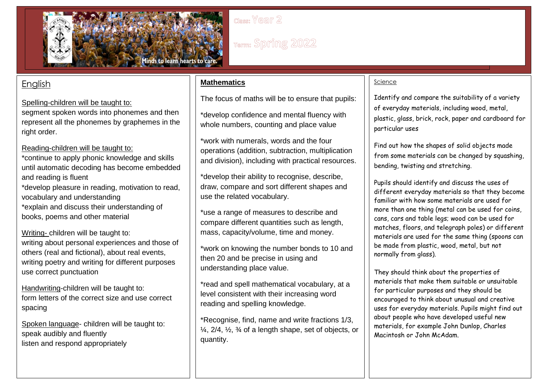

# **English**

Spelling-children will be taught to:

segment spoken words into phonemes and then represent all the phonemes by graphemes in the right order.

## Reading-children will be taught to:

\*continue to apply phonic knowledge and skills until automatic decoding has become embedded and reading is fluent \*develop pleasure in reading, motivation to read,

vocabulary and understanding \*explain and discuss their understanding of books, poems and other material

Writing- children will be taught to: writing about personal experiences and those of others (real and fictional), about real events, writing poetry and writing for different purposes use correct punctuation

Handwriting-children will be taught to: form letters of the correct size and use correct spacing

Spoken language- children will be taught to: speak audibly and fluently listen and respond appropriately

## **Mathematics**

The focus of maths will be to ensure that pupils:

\*develop confidence and mental fluency with whole numbers, counting and place value

\*work with numerals, words and the four operations (addition, subtraction, multiplication and division), including with practical resources.

\*develop their ability to recognise, describe, draw, compare and sort different shapes and use the related vocabulary.

\*use a range of measures to describe and compare different quantities such as length, mass, capacity/volume, time and money.

\*work on knowing the number bonds to 10 and then 20 and be precise in using and understanding place value.

\*read and spell mathematical vocabulary, at a level consistent with their increasing word reading and spelling knowledge.

\*Recognise, find, name and write fractions 1/3,  $\frac{1}{4}$ ,  $\frac{2}{4}$ ,  $\frac{1}{2}$ ,  $\frac{3}{4}$  of a length shape, set of objects, or quantity.

### Science

Identify and compare the suitability of a variety of everyday materials, including wood, metal, plastic, glass, brick, rock, paper and cardboard for particular uses

Find out how the shapes of solid objects made from some materials can be changed by squashing, bending, twisting and stretching.

Pupils should identify and discuss the uses of different everyday materials so that they become familiar with how some materials are used for more than one thing (metal can be used for coins, cans, cars and table legs; wood can be used for matches, floors, and telegraph poles) or different materials are used for the same thing (spoons can be made from plastic, wood, metal, but not normally from glass).

They should think about the properties of materials that make them suitable or unsuitable for particular purposes and they should be encouraged to think about unusual and creative uses for everyday materials. Pupils might find out about people who have developed useful new materials, for example John Dunlop, Charles Macintosh or John McAdam.